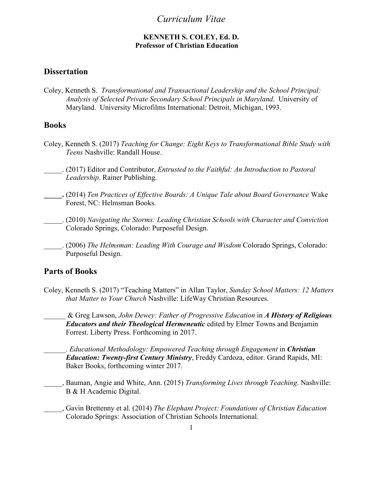## *Curriculum Vitae*

#### **KENNETH S. COLEY, Ed. D. Professor of Christian Education**

## **Dissertation**

Coley, Kenneth S. *Transformational and Transactional Leadership and the School Principal: Analysis of Selected Private Secondary School Principals in Maryland*. University of Maryland. University Microfilms International: Detroit, Michigan, 1993.

## **Books**

- Coley, Kenneth S. (2017) *Teaching for Change: Eight Keys to Transformational Bible Study with Teens* Nashville: Randall House.
- \_\_\_\_\_. (2017) Editor and Contributor, *Entrusted to the Faithful: An Introduction to Pastoral Leadership*. Rainer Publishing.

**\_\_\_\_\_.** (2014) *Ten Practices of Effective Boards: A Unique Tale about Board Governance* Wake Forest, NC: Helmsman Books.

- \_\_\_\_\_. (2010) *Navigating the Storms: Leading Christian Schools with Character and Conviction* Colorado Springs, Colorado: Purposeful Design.
- \_\_\_\_\_. (2006) *The Helmsman: Leading With Courage and Wisdom* Colorado Springs, Colorado: Purposeful Design.

### **Parts of Books**

Coley, Kenneth S. (2017) "Teaching Matters" in Allan Taylor, *Sunday School Matters: 12 Matters that Matter to Your Church* Nashville: LifeWay Christian Resources.

\_\_\_\_\_\_ & Greg Lawson, *John Dewey: Father of Progressive Education* in *A History of Religious Educators and their Theological Hermeneutic* edited by Elmer Towns and Benjamin Forrest. Liberty Press. Forthcoming in 2017.

*\_\_\_\_\_\_. Educational Methodology: Empowered Teaching through Engagement* in *Christian Education: Twenty-first Century Ministry*, Freddy Cardoza, editor. Grand Rapids, MI: Baker Books, forthcoming winter 2017.

- \_\_\_\_\_, Bauman, Angie and White, Ann. (2015) *Transforming Lives through Teaching*. Nashville: B & H Academic Digital.
- \_\_\_\_\_, Gavin Brettenny et al. (2014) *The Elephant Project: Foundations of Christian Education* Colorado Springs: Association of Christian Schools International.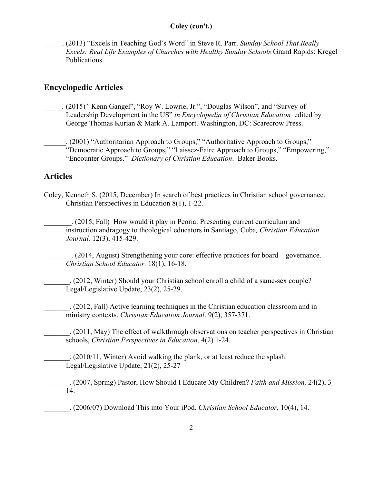### **Coley (con't.)**

\_\_\_\_\_. (2013) "Excels in Teaching God's Word" in Steve R. Parr. *Sunday School That Really Excels: Real Life Examples of Churches with Healthy Sunday Schools* Grand Rapids: Kregel Publications.

## **Encyclopedic Articles**

*\_\_\_\_\_.* (2015)*"* Kenn Gangel", "Roy W. Lowrie, Jr.", "Douglas Wilson", and "Survey of Leadership Development in the US" *in Encyclopedia of Christian Education* edited by George Thomas Kurian & Mark A. Lamport. Washington, DC: Scarecrow Press.

\_\_\_\_\_\_. (2001) "Authoritarian Approach to Groups," "Authoritative Approach to Groups," "Democratic Approach to Groups," "Laissez-Faire Approach to Groups," "Empowering," "Encounter Groups." *Dictionary of Christian Education*. Baker Books.

# **Articles**

Coley, Kenneth S. (2015, December) In search of best practices in Christian school governance. Christian Perspectives in Education 8(1), 1-22.

 . (2015, Fall)How would it play in Peoria: Presenting current curriculum and instruction andragogy to theological educators in Santiago, Cuba*, Christian Education Journal.* 12(3), 415-429.

\_\_\_\_\_\_\_. (2014, August) Strengthening your core: effective practices for board governance. *Christian School Educator.* 18(1), 16-18.

\_\_\_\_\_\_\_. (2012, Winter) Should your Christian school enroll a child of a same-sex couple? Legal/Legislative Update, 23(2), 25-29.

\_\_\_\_\_\_\_. (2012, Fall) Active learning techniques in the Christian education classroom and in ministry contexts. *Christian Education Journal*. 9(2), 357-371.

\_\_\_\_\_\_\_. (2011, May) The effect of walkthrough observations on teacher perspectives in Christian schools, *Christian Perspectives in Education*, 4(2) 1-24.

\_\_\_\_\_\_\_. (2010/11, Winter) Avoid walking the plank, or at least reduce the splash. Legal/Legislative Update, 21(2), 25-27

\_\_\_\_\_\_\_. (2007, Spring) Pastor, How Should I Educate My Children? *Faith and Mission,* 24(2), 3- 14.

\_\_\_\_\_\_\_. (2006/07) Download This into Your iPod. *Christian School Educator,* 10(4), 14.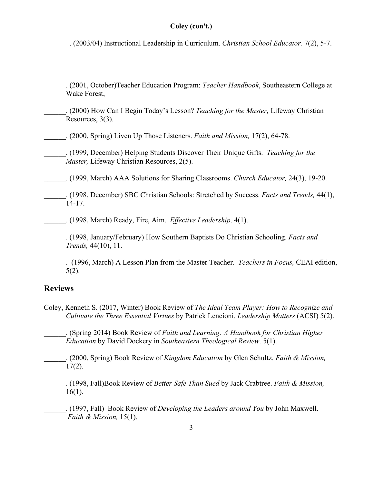#### **Coley (con't.)**

\_\_\_\_\_\_\_. (2003/04) Instructional Leadership in Curriculum. *Christian School Educator.* 7(2), 5-7.

- \_\_\_\_\_\_. (2001, October)Teacher Education Program: *Teacher Handbook*, Southeastern College at Wake Forest,
- \_\_\_\_\_\_. (2000) How Can I Begin Today's Lesson? *Teaching for the Master,* Lifeway Christian Resources, 3(3).
- \_\_\_\_\_\_. (2000, Spring) Liven Up Those Listeners. *Faith and Mission,* 17(2), 64-78.
- \_\_\_\_\_\_. (1999, December) Helping Students Discover Their Unique Gifts. *Teaching for the Master,* Lifeway Christian Resources, 2(5).
- \_\_\_\_\_\_. (1999, March) AAA Solutions for Sharing Classrooms. *Church Educator,* 24(3), 19-20.
- \_\_\_\_\_\_. (1998, December) SBC Christian Schools: Stretched by Success. *Facts and Trends,* 44(1), 14-17.
- \_\_\_\_\_\_. (1998, March) Ready, Fire, Aim. *Effective Leadership,* 4(1).
- \_\_\_\_\_\_. (1998, January/February) How Southern Baptists Do Christian Schooling. *Facts and Trends,* 44(10), 11.
- . (1996, March) A Lesson Plan from the Master Teacher. *Teachers in Focus,* CEAI edition, 5(2).

#### **Reviews**

Coley, Kenneth S. (2017, Winter) Book Review of *The Ideal Team Player: How to Recognize and Cultivate the Three Essential Virtues* by Patrick Lencioni. *Leadership Matters* (ACSI) 5(2).

\_\_\_\_\_\_. (Spring 2014) Book Review of *Faith and Learning: A Handbook for Christian Higher Education* by David Dockery in *Southeastern Theological Review,* 5(1).

\_\_\_\_\_\_. (2000, Spring) Book Review of *Kingdom Education* by Glen Schultz. *Faith & Mission,*  $17(2)$ .

\_\_\_\_\_\_. (1998, Fall)Book Review of *Better Safe Than Sued* by Jack Crabtree. *Faith & Mission,* 16(1).

\_\_\_\_\_\_. (1997, Fall) Book Review of *Developing the Leaders around You* by John Maxwell. *Faith & Mission,* 15(1).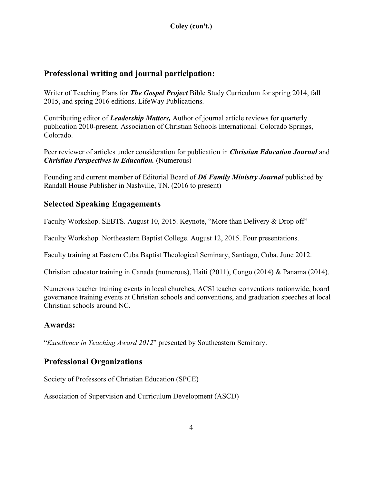# **Professional writing and journal participation:**

Writer of Teaching Plans for *The Gospel Project* Bible Study Curriculum for spring 2014, fall 2015, and spring 2016 editions. LifeWay Publications.

Contributing editor of *Leadership Matters,* Author of journal article reviews for quarterly publication 2010-present. Association of Christian Schools International. Colorado Springs, Colorado.

Peer reviewer of articles under consideration for publication in *Christian Education Journal* and *Christian Perspectives in Education.* (Numerous)

Founding and current member of Editorial Board of *D6 Family Ministry Journal* published by Randall House Publisher in Nashville, TN. (2016 to present)

# **Selected Speaking Engagements**

Faculty Workshop. SEBTS. August 10, 2015. Keynote, "More than Delivery & Drop off"

Faculty Workshop. Northeastern Baptist College. August 12, 2015. Four presentations.

Faculty training at Eastern Cuba Baptist Theological Seminary, Santiago, Cuba. June 2012.

Christian educator training in Canada (numerous), Haiti (2011), Congo (2014) & Panama (2014).

Numerous teacher training events in local churches, ACSI teacher conventions nationwide, board governance training events at Christian schools and conventions, and graduation speeches at local Christian schools around NC.

## **Awards:**

"*Excellence in Teaching Award 2012*" presented by Southeastern Seminary.

# **Professional Organizations**

Society of Professors of Christian Education (SPCE)

Association of Supervision and Curriculum Development (ASCD)